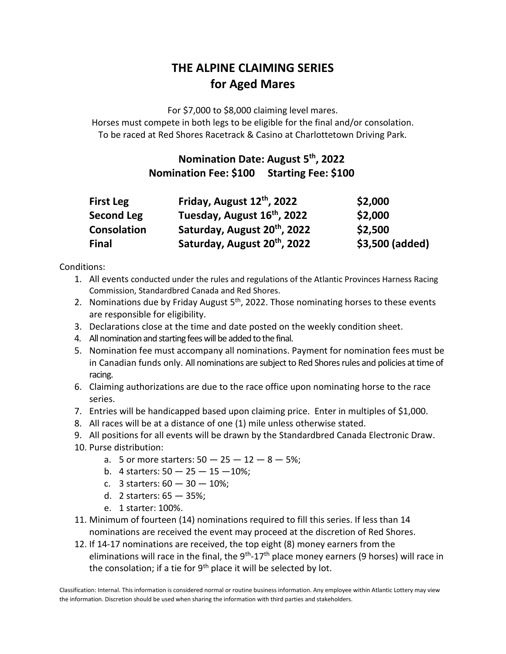## **THE ALPINE CLAIMING SERIES for Aged Mares**

For \$7,000 to \$8,000 claiming level mares. Horses must compete in both legs to be eligible for the final and/or consolation. To be raced at Red Shores Racetrack & Casino at Charlottetown Driving Park.

## **Nomination Date: August 5 th, 2022 Nomination Fee: \$100 Starting Fee: \$100**

| <b>First Leg</b>  | Friday, August 12th, 2022                | \$2,000         |
|-------------------|------------------------------------------|-----------------|
| <b>Second Leg</b> | Tuesday, August 16 <sup>th</sup> , 2022  | \$2,000         |
| Consolation       | Saturday, August 20 <sup>th</sup> , 2022 | \$2,500         |
| <b>Final</b>      | Saturday, August 20 <sup>th</sup> , 2022 | \$3,500 (added) |

Conditions:

- 1. All events conducted under the rules and regulations of the Atlantic Provinces Harness Racing Commission, Standardbred Canada and Red Shores.
- 2. Nominations due by Friday August 5<sup>th</sup>, 2022. Those nominating horses to these events are responsible for eligibility.
- 3. Declarations close at the time and date posted on the weekly condition sheet.
- 4. All nomination and starting fees will be added to the final.
- 5. Nomination fee must accompany all nominations. Payment for nomination fees must be in Canadian funds only. All nominations are subject to Red Shores rules and policies at time of racing.
- 6. Claiming authorizations are due to the race office upon nominating horse to the race series.
- 7. Entries will be handicapped based upon claiming price. Enter in multiples of \$1,000.
- 8. All races will be at a distance of one (1) mile unless otherwise stated.
- 9. All positions for all events will be drawn by the Standardbred Canada Electronic Draw.
- 10. Purse distribution:
	- a. 5 or more starters:  $50 25 12 8 5$ %;
	- b. 4 starters:  $50 25 15 10\%$ ;
	- c. 3 starters:  $60 30 10\%$ ;
	- d. 2 starters: 65 35%;
	- e. 1 starter: 100%.
- 11. Minimum of fourteen (14) nominations required to fill this series. If less than 14 nominations are received the event may proceed at the discretion of Red Shores.
- 12. If 14-17 nominations are received, the top eight (8) money earners from the eliminations will race in the final, the 9<sup>th</sup>-17<sup>th</sup> place money earners (9 horses) will race in the consolation; if a tie for  $9<sup>th</sup>$  place it will be selected by lot.